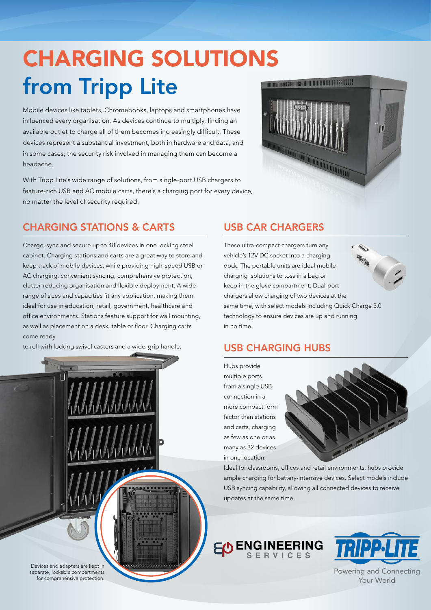# CHARGING SOLUTIONS from Tripp Lite

Mobile devices like tablets, Chromebooks, laptops and smartphones have influenced every organisation. As devices continue to multiply, finding an available outlet to charge all of them becomes increasingly difficult. These devices represent a substantial investment, both in hardware and data, and in some cases, the security risk involved in managing them can become a headache.

With Tripp Lite's wide range of solutions, from single-port USB chargers to feature-rich USB and AC mobile carts, there's a charging port for every device, no matter the level of security required.



### CHARGING STATIONS & CARTS

Charge, sync and secure up to 48 devices in one locking steel cabinet. Charging stations and carts are a great way to store and keep track of mobile devices, while providing high-speed USB or AC charging, convenient syncing, comprehensive protection, clutter-reducing organisation and flexible deployment. A wide range of sizes and capacities fit any application, making them ideal for use in education, retail, government, healthcare and office environments. Stations feature support for wall mounting, as well as placement on a desk, table or floor. Charging carts come ready

to roll with locking swivel casters and a wide-grip handle.

#### USB CAR CHARGERS

These ultra-compact chargers turn any vehicle's 12V DC socket into a charging dock. The portable units are ideal mobilecharging solutions to toss in a bag or keep in the glove compartment. Dual-port chargers allow charging of two devices at the same time, with select models including Quick Charge 3.0 technology to ensure devices are up and running in no time.

#### USB CHARGING HUBS

Hubs provide multiple ports from a single USB connection in a more compact form factor than stations and carts, charging as few as one or as many as 32 devices in one location.



Ideal for classrooms, offices and retail environments, hubs provide ample charging for battery-intensive devices. Select models include USB syncing capability, allowing all connected devices to receive updates at the same time.





Powering and Connecting Your World

Devices and adapters are kept in separate, lockable compartments for comprehensive protection.